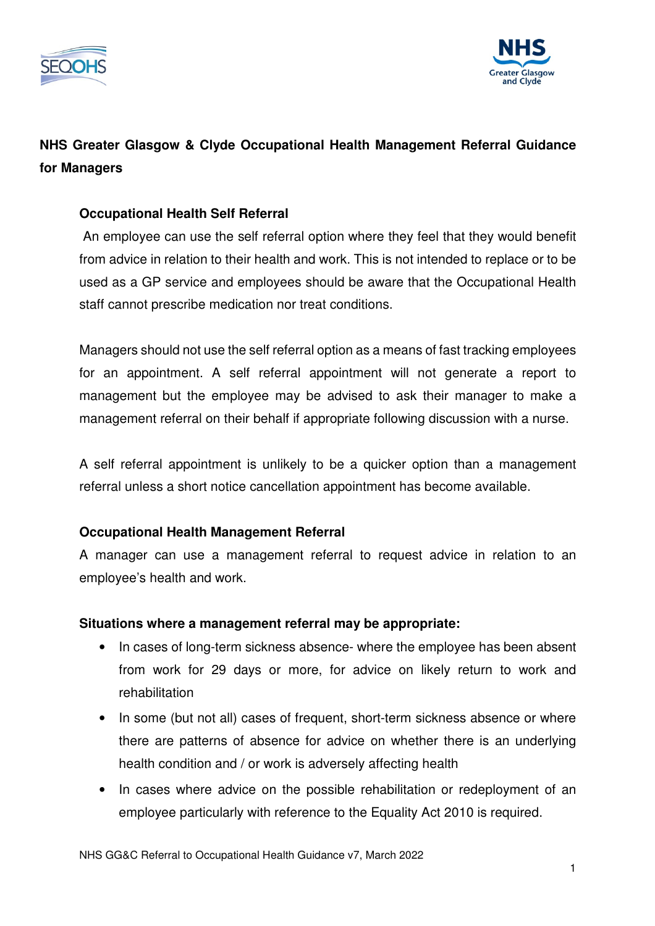



# **NHS Greater Glasgow & Clyde Occupational Health Management Referral Guidance for Managers**

# **Occupational Health Self Referral**

An employee can use the self referral option where they feel that they would benefit from advice in relation to their health and work. This is not intended to replace or to be used as a GP service and employees should be aware that the Occupational Health staff cannot prescribe medication nor treat conditions.

Managers should not use the self referral option as a means of fast tracking employees for an appointment. A self referral appointment will not generate a report to management but the employee may be advised to ask their manager to make a management referral on their behalf if appropriate following discussion with a nurse.

A self referral appointment is unlikely to be a quicker option than a management referral unless a short notice cancellation appointment has become available.

# **Occupational Health Management Referral**

A manager can use a management referral to request advice in relation to an employee's health and work.

# **Situations where a management referral may be appropriate:**

- In cases of long-term sickness absence- where the employee has been absent from work for 29 days or more, for advice on likely return to work and rehabilitation
- In some (but not all) cases of frequent, short-term sickness absence or where there are patterns of absence for advice on whether there is an underlying health condition and / or work is adversely affecting health
- In cases where advice on the possible rehabilitation or redeployment of an employee particularly with reference to the Equality Act 2010 is required.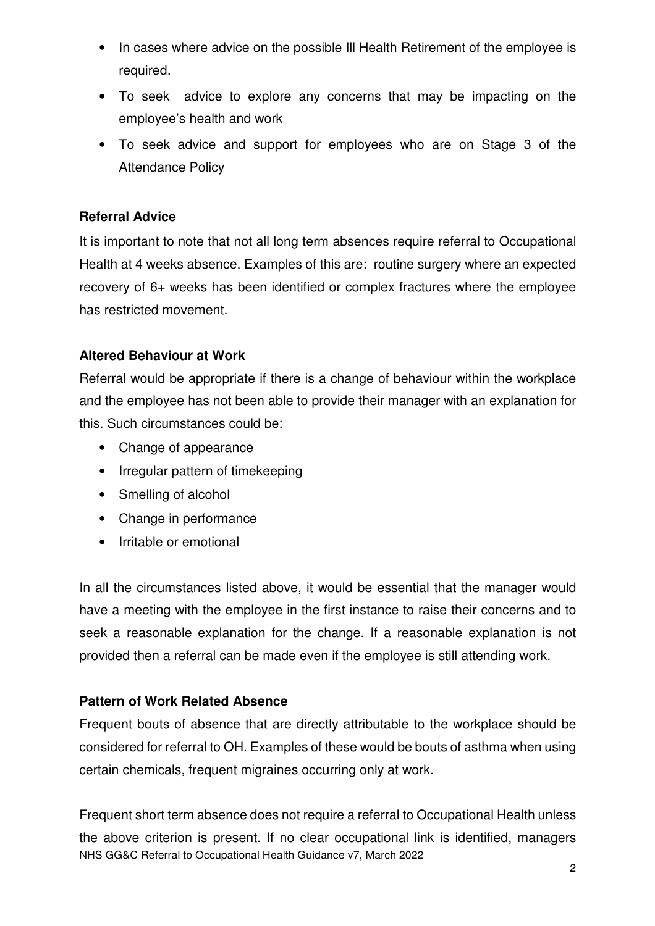- In cases where advice on the possible Ill Health Retirement of the employee is required.
- To seek advice to explore any concerns that may be impacting on the employee's health and work
- To seek advice and support for employees who are on Stage 3 of the Attendance Policy

# **Referral Advice**

It is important to note that not all long term absences require referral to Occupational Health at 4 weeks absence. Examples of this are: routine surgery where an expected recovery of 6+ weeks has been identified or complex fractures where the employee has restricted movement.

#### **Altered Behaviour at Work**

Referral would be appropriate if there is a change of behaviour within the workplace and the employee has not been able to provide their manager with an explanation for this. Such circumstances could be:

- Change of appearance
- Irregular pattern of timekeeping
- Smelling of alcohol
- Change in performance
- Irritable or emotional

In all the circumstances listed above, it would be essential that the manager would have a meeting with the employee in the first instance to raise their concerns and to seek a reasonable explanation for the change. If a reasonable explanation is not provided then a referral can be made even if the employee is still attending work.

#### **Pattern of Work Related Absence**

Frequent bouts of absence that are directly attributable to the workplace should be considered for referral to OH. Examples of these would be bouts of asthma when using certain chemicals, frequent migraines occurring only at work.

NHS GG&C Referral to Occupational Health Guidance v7, March 2022 Frequent short term absence does not require a referral to Occupational Health unless the above criterion is present. If no clear occupational link is identified, managers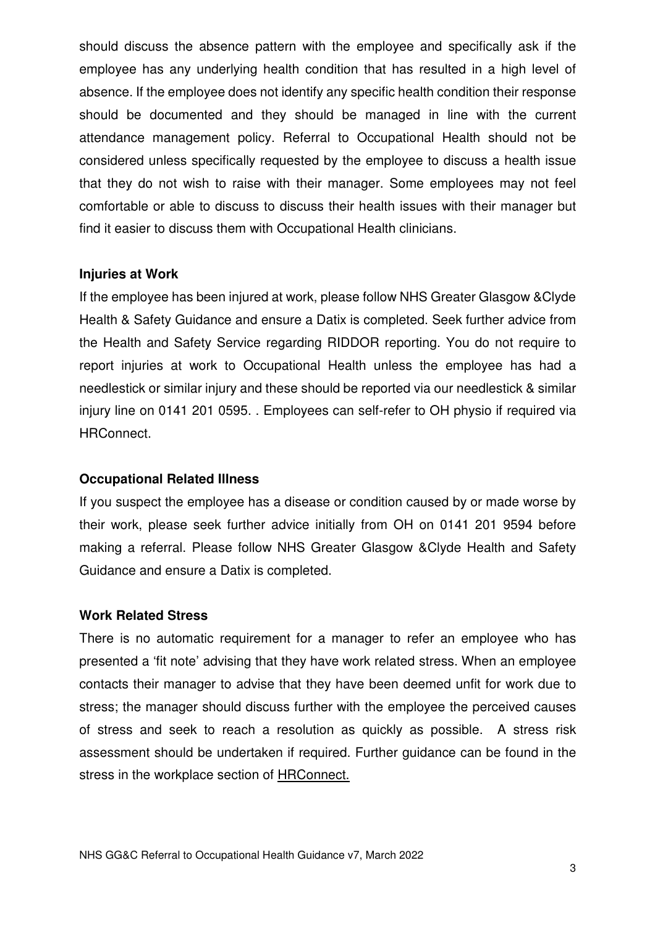should discuss the absence pattern with the employee and specifically ask if the employee has any underlying health condition that has resulted in a high level of absence. If the employee does not identify any specific health condition their response should be documented and they should be managed in line with the current attendance management policy. Referral to Occupational Health should not be considered unless specifically requested by the employee to discuss a health issue that they do not wish to raise with their manager. Some employees may not feel comfortable or able to discuss to discuss their health issues with their manager but find it easier to discuss them with Occupational Health clinicians.

#### **Injuries at Work**

If the employee has been injured at work, please follow NHS Greater Glasgow &Clyde Health & Safety Guidance and ensure a Datix is completed. Seek further advice from the Health and Safety Service regarding RIDDOR reporting. You do not require to report injuries at work to Occupational Health unless the employee has had a needlestick or similar injury and these should be reported via our needlestick & similar injury line on 0141 201 0595. . Employees can self-refer to OH physio if required via HRConnect.

#### **Occupational Related Illness**

If you suspect the employee has a disease or condition caused by or made worse by their work, please seek further advice initially from OH on 0141 201 9594 before making a referral. Please follow NHS Greater Glasgow &Clyde Health and Safety Guidance and ensure a Datix is completed.

#### **Work Related Stress**

There is no automatic requirement for a manager to refer an employee who has presented a 'fit note' advising that they have work related stress. When an employee contacts their manager to advise that they have been deemed unfit for work due to stress; the manager should discuss further with the employee the perceived causes of stress and seek to reach a resolution as quickly as possible. A stress risk assessment should be undertaken if required. Further guidance can be found in the stress in the workplace section of HRConnect.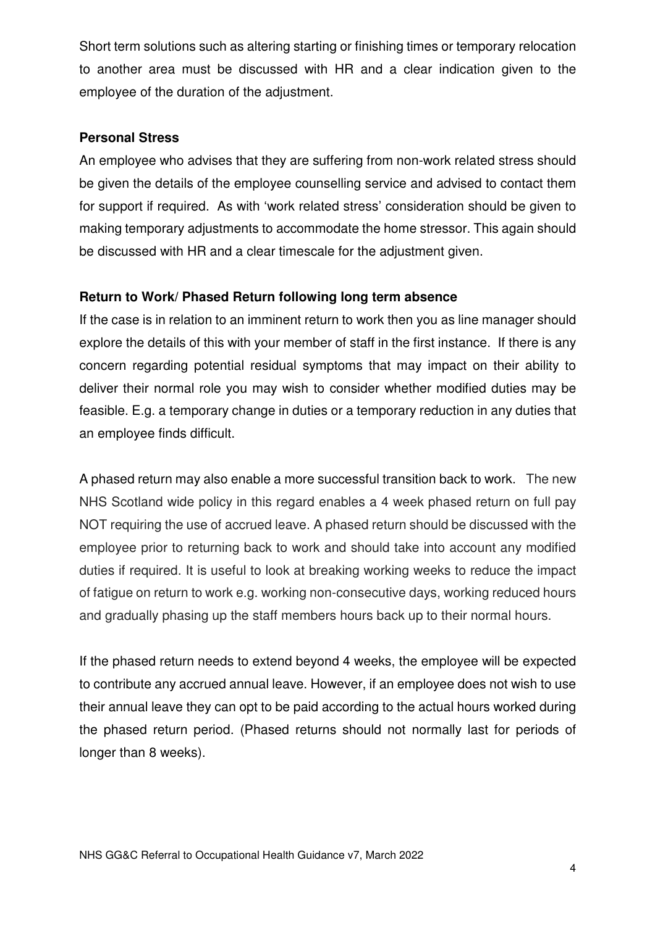Short term solutions such as altering starting or finishing times or temporary relocation to another area must be discussed with HR and a clear indication given to the employee of the duration of the adjustment.

#### **Personal Stress**

An employee who advises that they are suffering from non-work related stress should be given the details of the employee counselling service and advised to contact them for support if required. As with 'work related stress' consideration should be given to making temporary adjustments to accommodate the home stressor. This again should be discussed with HR and a clear timescale for the adjustment given.

# **Return to Work/ Phased Return following long term absence**

If the case is in relation to an imminent return to work then you as line manager should explore the details of this with your member of staff in the first instance. If there is any concern regarding potential residual symptoms that may impact on their ability to deliver their normal role you may wish to consider whether modified duties may be feasible. E.g. a temporary change in duties or a temporary reduction in any duties that an employee finds difficult.

A phased return may also enable a more successful transition back to work. The new NHS Scotland wide policy in this regard enables a 4 week phased return on full pay NOT requiring the use of accrued leave. A phased return should be discussed with the employee prior to returning back to work and should take into account any modified duties if required. It is useful to look at breaking working weeks to reduce the impact of fatigue on return to work e.g. working non-consecutive days, working reduced hours and gradually phasing up the staff members hours back up to their normal hours.

If the phased return needs to extend beyond 4 weeks, the employee will be expected to contribute any accrued annual leave. However, if an employee does not wish to use their annual leave they can opt to be paid according to the actual hours worked during the phased return period. (Phased returns should not normally last for periods of longer than 8 weeks).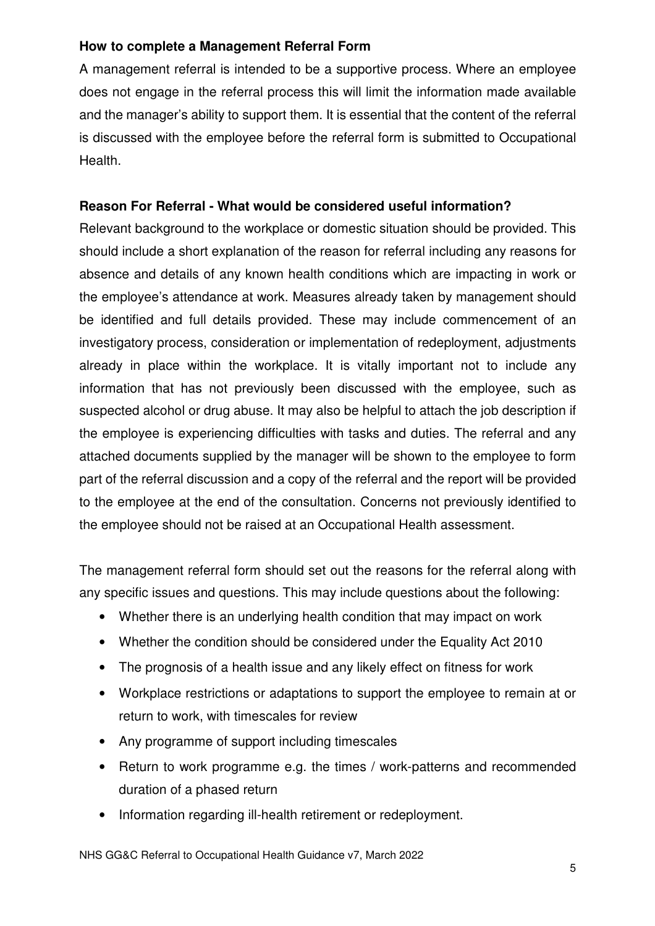# **How to complete a Management Referral Form**

A management referral is intended to be a supportive process. Where an employee does not engage in the referral process this will limit the information made available and the manager's ability to support them. It is essential that the content of the referral is discussed with the employee before the referral form is submitted to Occupational Health.

# **Reason For Referral - What would be considered useful information?**

Relevant background to the workplace or domestic situation should be provided. This should include a short explanation of the reason for referral including any reasons for absence and details of any known health conditions which are impacting in work or the employee's attendance at work. Measures already taken by management should be identified and full details provided. These may include commencement of an investigatory process, consideration or implementation of redeployment, adjustments already in place within the workplace. It is vitally important not to include any information that has not previously been discussed with the employee, such as suspected alcohol or drug abuse. It may also be helpful to attach the job description if the employee is experiencing difficulties with tasks and duties. The referral and any attached documents supplied by the manager will be shown to the employee to form part of the referral discussion and a copy of the referral and the report will be provided to the employee at the end of the consultation. Concerns not previously identified to the employee should not be raised at an Occupational Health assessment.

The management referral form should set out the reasons for the referral along with any specific issues and questions. This may include questions about the following:

- Whether there is an underlying health condition that may impact on work
- Whether the condition should be considered under the Equality Act 2010
- The prognosis of a health issue and any likely effect on fitness for work
- Workplace restrictions or adaptations to support the employee to remain at or return to work, with timescales for review
- Any programme of support including timescales
- Return to work programme e.g. the times / work-patterns and recommended duration of a phased return
- Information regarding ill-health retirement or redeployment.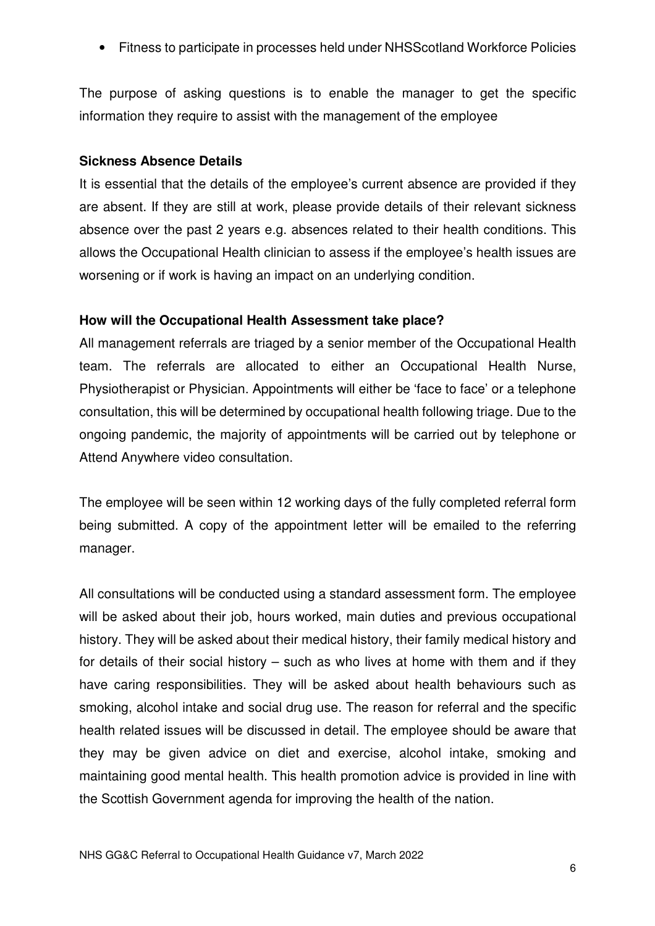• Fitness to participate in processes held under NHSScotland Workforce Policies

The purpose of asking questions is to enable the manager to get the specific information they require to assist with the management of the employee

#### **Sickness Absence Details**

It is essential that the details of the employee's current absence are provided if they are absent. If they are still at work, please provide details of their relevant sickness absence over the past 2 years e.g. absences related to their health conditions. This allows the Occupational Health clinician to assess if the employee's health issues are worsening or if work is having an impact on an underlying condition.

#### **How will the Occupational Health Assessment take place?**

All management referrals are triaged by a senior member of the Occupational Health team. The referrals are allocated to either an Occupational Health Nurse, Physiotherapist or Physician. Appointments will either be 'face to face' or a telephone consultation, this will be determined by occupational health following triage. Due to the ongoing pandemic, the majority of appointments will be carried out by telephone or Attend Anywhere video consultation.

The employee will be seen within 12 working days of the fully completed referral form being submitted. A copy of the appointment letter will be emailed to the referring manager.

All consultations will be conducted using a standard assessment form. The employee will be asked about their job, hours worked, main duties and previous occupational history. They will be asked about their medical history, their family medical history and for details of their social history – such as who lives at home with them and if they have caring responsibilities. They will be asked about health behaviours such as smoking, alcohol intake and social drug use. The reason for referral and the specific health related issues will be discussed in detail. The employee should be aware that they may be given advice on diet and exercise, alcohol intake, smoking and maintaining good mental health. This health promotion advice is provided in line with the Scottish Government agenda for improving the health of the nation.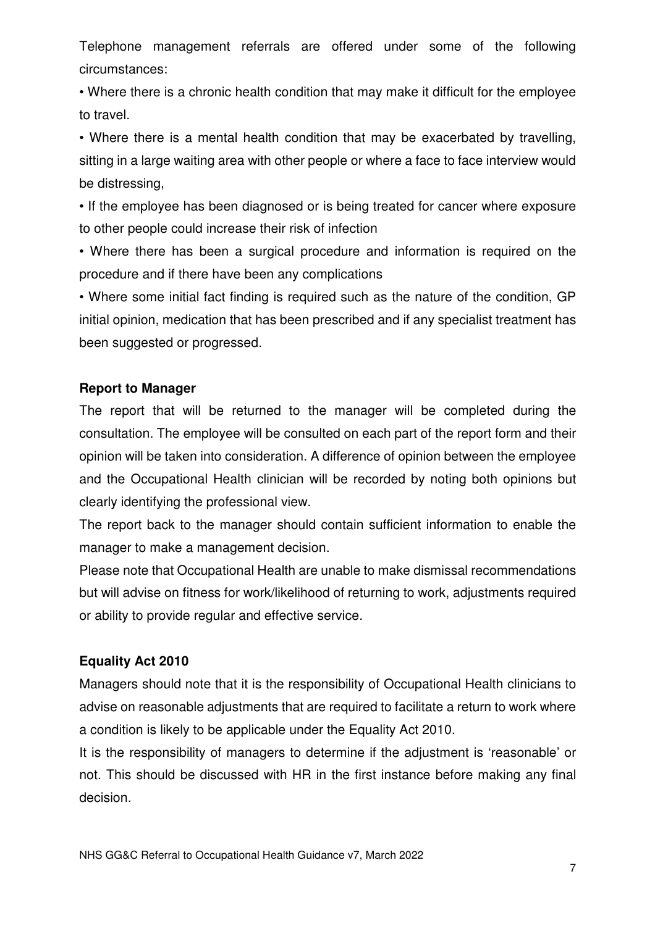Telephone management referrals are offered under some of the following circumstances:

• Where there is a chronic health condition that may make it difficult for the employee to travel.

• Where there is a mental health condition that may be exacerbated by travelling, sitting in a large waiting area with other people or where a face to face interview would be distressing,

• If the employee has been diagnosed or is being treated for cancer where exposure to other people could increase their risk of infection

• Where there has been a surgical procedure and information is required on the procedure and if there have been any complications

• Where some initial fact finding is required such as the nature of the condition, GP initial opinion, medication that has been prescribed and if any specialist treatment has been suggested or progressed.

# **Report to Manager**

The report that will be returned to the manager will be completed during the consultation. The employee will be consulted on each part of the report form and their opinion will be taken into consideration. A difference of opinion between the employee and the Occupational Health clinician will be recorded by noting both opinions but clearly identifying the professional view.

The report back to the manager should contain sufficient information to enable the manager to make a management decision.

Please note that Occupational Health are unable to make dismissal recommendations but will advise on fitness for work/likelihood of returning to work, adjustments required or ability to provide regular and effective service.

# **Equality Act 2010**

Managers should note that it is the responsibility of Occupational Health clinicians to advise on reasonable adjustments that are required to facilitate a return to work where a condition is likely to be applicable under the Equality Act 2010.

It is the responsibility of managers to determine if the adjustment is 'reasonable' or not. This should be discussed with HR in the first instance before making any final decision.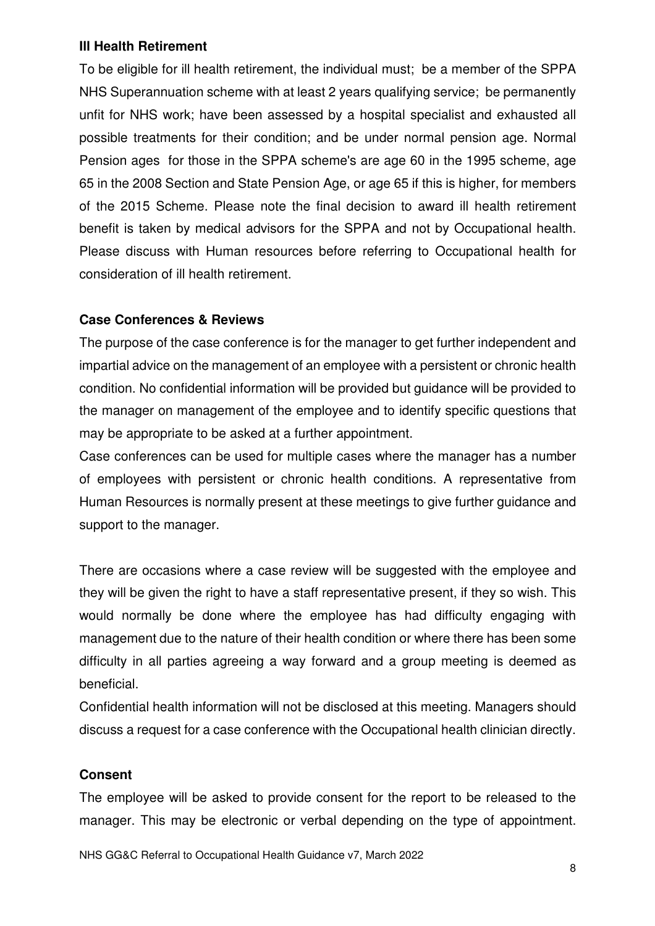#### **Ill Health Retirement**

To be eligible for ill health retirement, the individual must; be a member of the SPPA NHS Superannuation scheme with at least 2 years qualifying service; be permanently unfit for NHS work; have been assessed by a hospital specialist and exhausted all possible treatments for their condition; and be under normal pension age. Normal Pension ages for those in the SPPA scheme's are age 60 in the 1995 scheme, age 65 in the 2008 Section and State Pension Age, or age 65 if this is higher, for members of the 2015 Scheme. Please note the final decision to award ill health retirement benefit is taken by medical advisors for the SPPA and not by Occupational health. Please discuss with Human resources before referring to Occupational health for consideration of ill health retirement.

# **Case Conferences & Reviews**

The purpose of the case conference is for the manager to get further independent and impartial advice on the management of an employee with a persistent or chronic health condition. No confidential information will be provided but guidance will be provided to the manager on management of the employee and to identify specific questions that may be appropriate to be asked at a further appointment.

Case conferences can be used for multiple cases where the manager has a number of employees with persistent or chronic health conditions. A representative from Human Resources is normally present at these meetings to give further guidance and support to the manager.

There are occasions where a case review will be suggested with the employee and they will be given the right to have a staff representative present, if they so wish. This would normally be done where the employee has had difficulty engaging with management due to the nature of their health condition or where there has been some difficulty in all parties agreeing a way forward and a group meeting is deemed as beneficial.

Confidential health information will not be disclosed at this meeting. Managers should discuss a request for a case conference with the Occupational health clinician directly.

# **Consent**

The employee will be asked to provide consent for the report to be released to the manager. This may be electronic or verbal depending on the type of appointment.

NHS GG&C Referral to Occupational Health Guidance v7, March 2022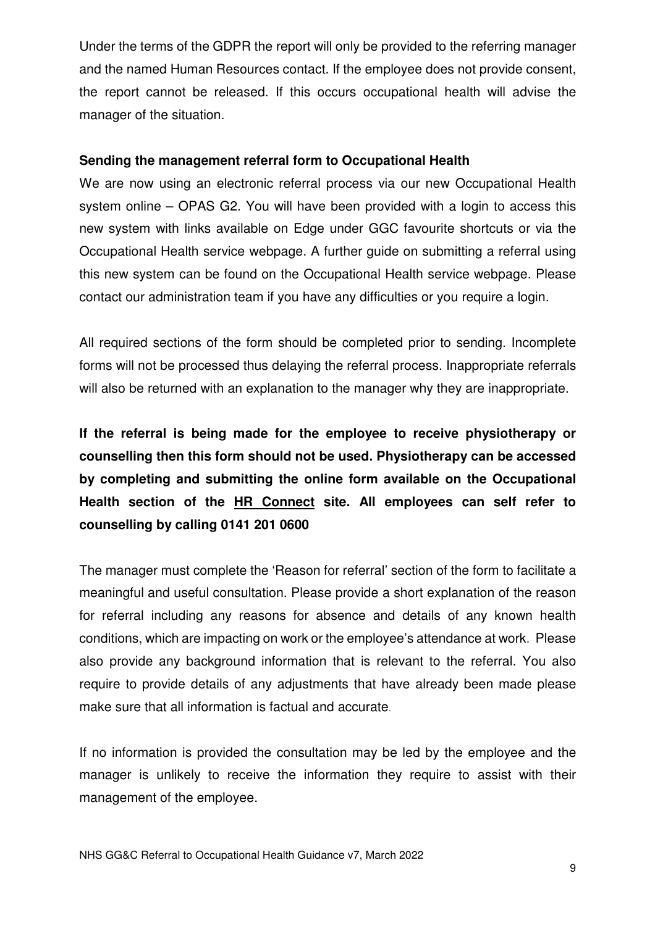Under the terms of the GDPR the report will only be provided to the referring manager and the named Human Resources contact. If the employee does not provide consent, the report cannot be released. If this occurs occupational health will advise the manager of the situation.

#### **Sending the management referral form to Occupational Health**

We are now using an electronic referral process via our new Occupational Health system online – OPAS G2. You will have been provided with a login to access this new system with links available on Edge under GGC favourite shortcuts or via the Occupational Health service webpage. A further guide on submitting a referral using this new system can be found on the Occupational Health service webpage. Please contact our administration team if you have any difficulties or you require a login.

All required sections of the form should be completed prior to sending. Incomplete forms will not be processed thus delaying the referral process. Inappropriate referrals will also be returned with an explanation to the manager why they are inappropriate.

**If the referral is being made for the employee to receive physiotherapy or counselling then this form should not be used. Physiotherapy can be accessed by completing and submitting the online form available on the Occupational Health section of the HR Connect site. All employees can self refer to counselling by calling 0141 201 0600**

The manager must complete the 'Reason for referral' section of the form to facilitate a meaningful and useful consultation. Please provide a short explanation of the reason for referral including any reasons for absence and details of any known health conditions, which are impacting on work or the employee's attendance at work. Please also provide any background information that is relevant to the referral. You also require to provide details of any adjustments that have already been made please make sure that all information is factual and accurate.

If no information is provided the consultation may be led by the employee and the manager is unlikely to receive the information they require to assist with their management of the employee.